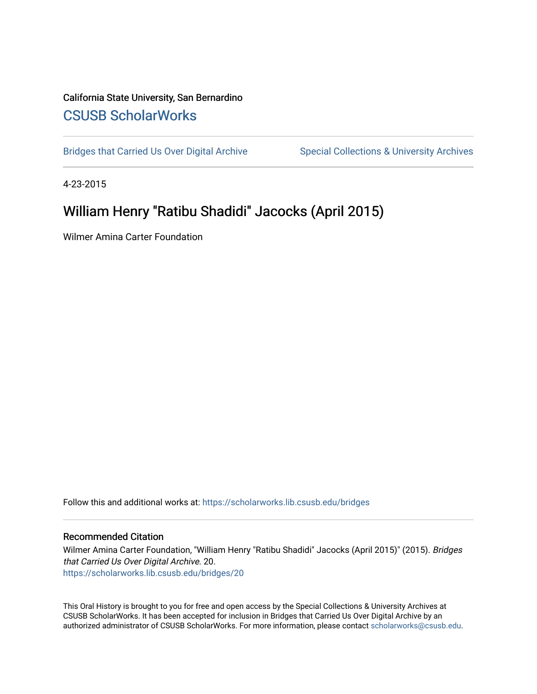# California State University, San Bernardino [CSUSB ScholarWorks](https://scholarworks.lib.csusb.edu/)

[Bridges that Carried Us Over Digital Archive](https://scholarworks.lib.csusb.edu/bridges) Special Collections & University Archives

4-23-2015

# William Henry "Ratibu Shadidi" Jacocks (April 2015)

Wilmer Amina Carter Foundation

Follow this and additional works at: [https://scholarworks.lib.csusb.edu/bridges](https://scholarworks.lib.csusb.edu/bridges?utm_source=scholarworks.lib.csusb.edu%2Fbridges%2F20&utm_medium=PDF&utm_campaign=PDFCoverPages) 

#### Recommended Citation

Wilmer Amina Carter Foundation, "William Henry "Ratibu Shadidi" Jacocks (April 2015)" (2015). Bridges that Carried Us Over Digital Archive. 20. [https://scholarworks.lib.csusb.edu/bridges/20](https://scholarworks.lib.csusb.edu/bridges/20?utm_source=scholarworks.lib.csusb.edu%2Fbridges%2F20&utm_medium=PDF&utm_campaign=PDFCoverPages)

This Oral History is brought to you for free and open access by the Special Collections & University Archives at CSUSB ScholarWorks. It has been accepted for inclusion in Bridges that Carried Us Over Digital Archive by an authorized administrator of CSUSB ScholarWorks. For more information, please contact [scholarworks@csusb.edu.](mailto:scholarworks@csusb.edu)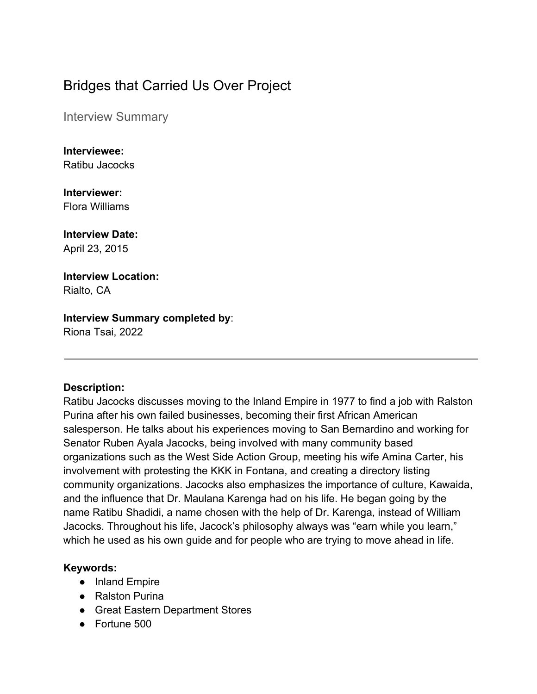# Bridges that Carried Us Over Project

Interview Summary

**Interviewee:** Ratibu Jacocks

**Interviewer:** Flora Williams

# **Interview Date:**

April 23, 2015

#### **Interview Location:** Rialto, CA

### **Interview Summary completed by**:

Riona Tsai, 2022

### **Description:**

Ratibu Jacocks discusses moving to the Inland Empire in 1977 to find a job with Ralston Purina after his own failed businesses, becoming their first African American salesperson. He talks about his experiences moving to San Bernardino and working for Senator Ruben Ayala Jacocks, being involved with many community based organizations such as the West Side Action Group, meeting his wife Amina Carter, his involvement with protesting the KKK in Fontana, and creating a directory listing community organizations. Jacocks also emphasizes the importance of culture, Kawaida, and the influence that Dr. Maulana Karenga had on his life. He began going by the name Ratibu Shadidi, a name chosen with the help of Dr. Karenga, instead of William Jacocks. Throughout his life, Jacock's philosophy always was "earn while you learn," which he used as his own guide and for people who are trying to move ahead in life.

### **Keywords:**

- Inland Empire
- Ralston Purina
- Great Eastern Department Stores
- Fortune 500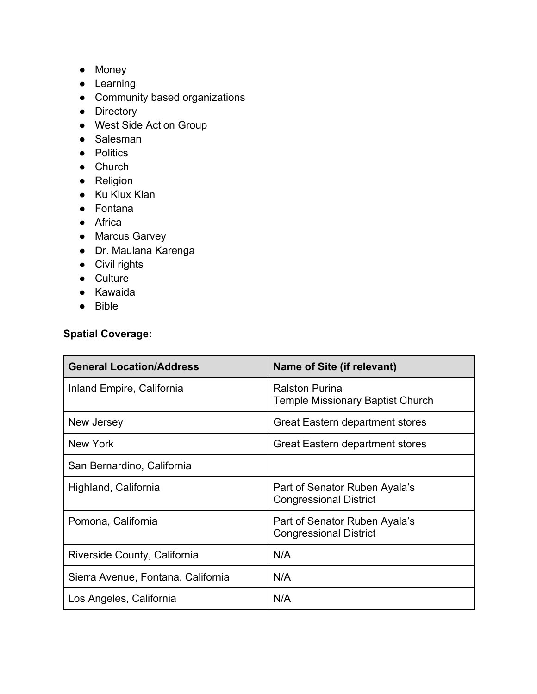- Money
- Learning
- Community based organizations
- Directory
- West Side Action Group
- Salesman
- Politics
- Church
- Religion
- Ku Klux Klan
- Fontana
- Africa
- Marcus Garvey
- Dr. Maulana Karenga
- Civil rights
- Culture
- Kawaida
- Bible

### **Spatial Coverage:**

| <b>General Location/Address</b>    | Name of Site (if relevant)                                       |
|------------------------------------|------------------------------------------------------------------|
| Inland Empire, California          | <b>Ralston Purina</b><br><b>Temple Missionary Baptist Church</b> |
| New Jersey                         | Great Eastern department stores                                  |
| New York                           | <b>Great Eastern department stores</b>                           |
| San Bernardino, California         |                                                                  |
| Highland, California               | Part of Senator Ruben Ayala's<br><b>Congressional District</b>   |
| Pomona, California                 | Part of Senator Ruben Ayala's<br><b>Congressional District</b>   |
| Riverside County, California       | N/A                                                              |
| Sierra Avenue, Fontana, California | N/A                                                              |
| Los Angeles, California            | N/A                                                              |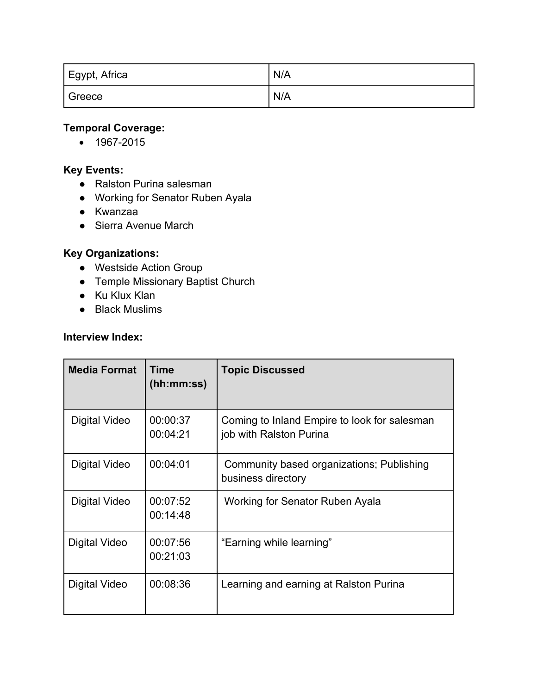| Egypt, Africa | N/A |
|---------------|-----|
| Greece        | N/A |

### **Temporal Coverage:**

• 1967-2015

#### **Key Events:**

- Ralston Purina salesman
- Working for Senator Ruben Ayala
- Kwanzaa
- Sierra Avenue March

# **Key Organizations:**

- Westside Action Group
- Temple Missionary Baptist Church
- Ku Klux Klan
- Black Muslims

#### **Interview Index:**

| <b>Media Format</b> | Time<br>(hh:mm:ss)   | <b>Topic Discussed</b>                                                  |
|---------------------|----------------------|-------------------------------------------------------------------------|
| Digital Video       | 00:00:37<br>00:04:21 | Coming to Inland Empire to look for salesman<br>job with Ralston Purina |
| Digital Video       | 00:04:01             | Community based organizations; Publishing<br>business directory         |
| Digital Video       | 00:07:52<br>00:14:48 | Working for Senator Ruben Ayala                                         |
| Digital Video       | 00:07:56<br>00:21:03 | "Earning while learning"                                                |
| Digital Video       | 00:08:36             | Learning and earning at Ralston Purina                                  |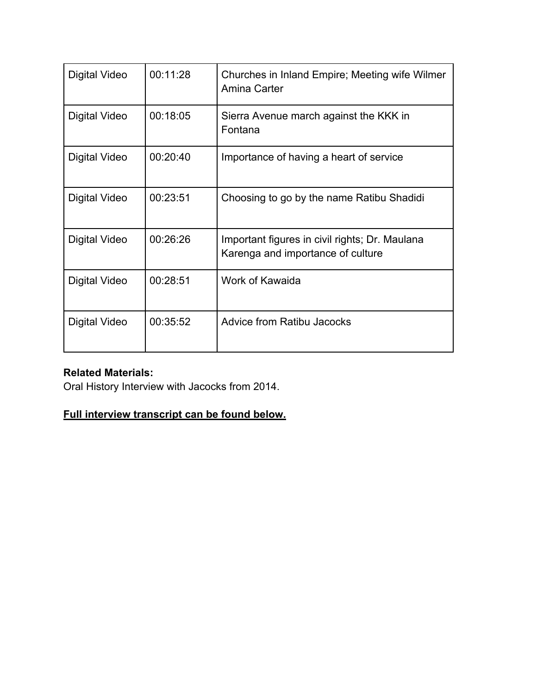| Digital Video        | 00:11:28 | Churches in Inland Empire; Meeting wife Wilmer<br>Amina Carter                      |
|----------------------|----------|-------------------------------------------------------------------------------------|
| Digital Video        | 00:18:05 | Sierra Avenue march against the KKK in<br>Fontana                                   |
| Digital Video        | 00:20:40 | Importance of having a heart of service                                             |
| <b>Digital Video</b> | 00:23:51 | Choosing to go by the name Ratibu Shadidi                                           |
| Digital Video        | 00:26:26 | Important figures in civil rights; Dr. Maulana<br>Karenga and importance of culture |
| <b>Digital Video</b> | 00:28:51 | Work of Kawaida                                                                     |
| Digital Video        | 00:35:52 | <b>Advice from Ratibu Jacocks</b>                                                   |

# **Related Materials:**

Oral History Interview with Jacocks from 2014.

### **Full interview transcript can be found below.**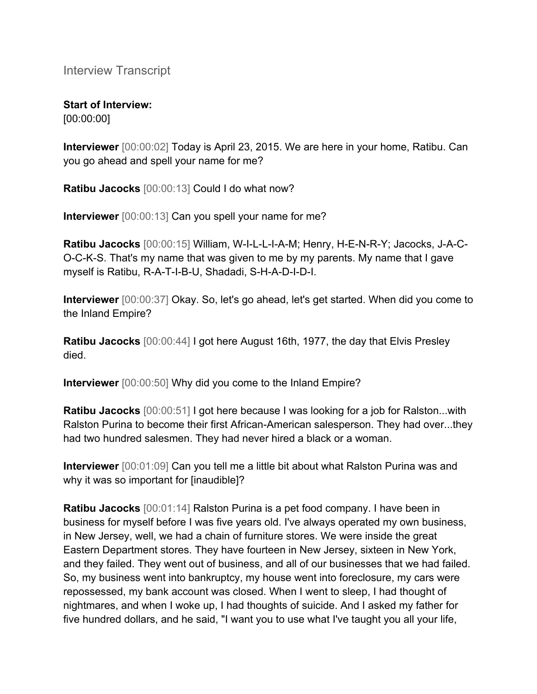Interview Transcript

# **Start of Interview:**

[00:00:00]

**Interviewer** [00:00:02] Today is April 23, 2015. We are here in your home, Ratibu. Can you go ahead and spell your name for me?

**Ratibu Jacocks** [00:00:13] Could I do what now?

**Interviewer** [00:00:13] Can you spell your name for me?

**Ratibu Jacocks** [00:00:15] William, W-I-L-L-I-A-M; Henry, H-E-N-R-Y; Jacocks, J-A-C-O-C-K-S. That's my name that was given to me by my parents. My name that I gave myself is Ratibu, R-A-T-I-B-U, Shadadi, S-H-A-D-I-D-I.

**Interviewer** [00:00:37] Okay. So, let's go ahead, let's get started. When did you come to the Inland Empire?

**Ratibu Jacocks** [00:00:44] I got here August 16th, 1977, the day that Elvis Presley died.

**Interviewer** [00:00:50] Why did you come to the Inland Empire?

**Ratibu Jacocks** [00:00:51] I got here because I was looking for a job for Ralston...with Ralston Purina to become their first African-American salesperson. They had over...they had two hundred salesmen. They had never hired a black or a woman.

**Interviewer** [00:01:09] Can you tell me a little bit about what Ralston Purina was and why it was so important for [inaudible]?

**Ratibu Jacocks** [00:01:14] Ralston Purina is a pet food company. I have been in business for myself before I was five years old. I've always operated my own business, in New Jersey, well, we had a chain of furniture stores. We were inside the great Eastern Department stores. They have fourteen in New Jersey, sixteen in New York, and they failed. They went out of business, and all of our businesses that we had failed. So, my business went into bankruptcy, my house went into foreclosure, my cars were repossessed, my bank account was closed. When I went to sleep, I had thought of nightmares, and when I woke up, I had thoughts of suicide. And I asked my father for five hundred dollars, and he said, "I want you to use what I've taught you all your life,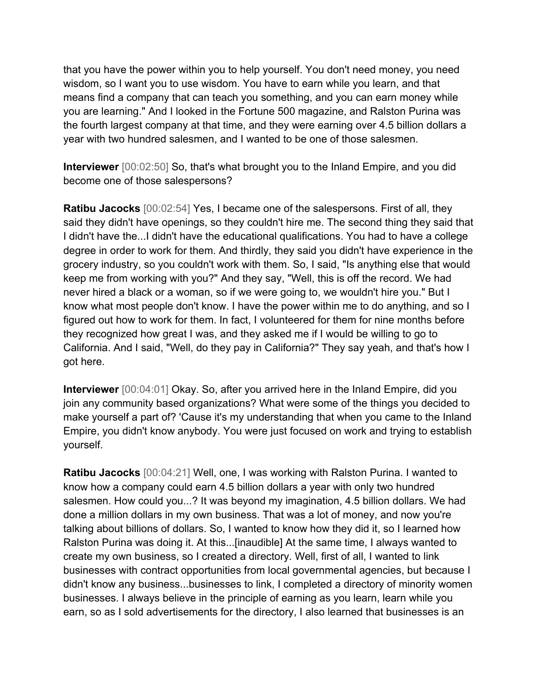that you have the power within you to help yourself. You don't need money, you need wisdom, so I want you to use wisdom. You have to earn while you learn, and that means find a company that can teach you something, and you can earn money while you are learning." And I looked in the Fortune 500 magazine, and Ralston Purina was the fourth largest company at that time, and they were earning over 4.5 billion dollars a year with two hundred salesmen, and I wanted to be one of those salesmen.

**Interviewer** [00:02:50] So, that's what brought you to the Inland Empire, and you did become one of those salespersons?

**Ratibu Jacocks** [00:02:54] Yes, I became one of the salespersons. First of all, they said they didn't have openings, so they couldn't hire me. The second thing they said that I didn't have the...I didn't have the educational qualifications. You had to have a college degree in order to work for them. And thirdly, they said you didn't have experience in the grocery industry, so you couldn't work with them. So, I said, "Is anything else that would keep me from working with you?" And they say, "Well, this is off the record. We had never hired a black or a woman, so if we were going to, we wouldn't hire you." But I know what most people don't know. I have the power within me to do anything, and so I figured out how to work for them. In fact, I volunteered for them for nine months before they recognized how great I was, and they asked me if I would be willing to go to California. And I said, "Well, do they pay in California?" They say yeah, and that's how I got here.

**Interviewer** [00:04:01] Okay. So, after you arrived here in the Inland Empire, did you join any community based organizations? What were some of the things you decided to make yourself a part of? 'Cause it's my understanding that when you came to the Inland Empire, you didn't know anybody. You were just focused on work and trying to establish yourself.

**Ratibu Jacocks** [00:04:21] Well, one, I was working with Ralston Purina. I wanted to know how a company could earn 4.5 billion dollars a year with only two hundred salesmen. How could you...? It was beyond my imagination, 4.5 billion dollars. We had done a million dollars in my own business. That was a lot of money, and now you're talking about billions of dollars. So, I wanted to know how they did it, so I learned how Ralston Purina was doing it. At this...[inaudible] At the same time, I always wanted to create my own business, so I created a directory. Well, first of all, I wanted to link businesses with contract opportunities from local governmental agencies, but because I didn't know any business...businesses to link, I completed a directory of minority women businesses. I always believe in the principle of earning as you learn, learn while you earn, so as I sold advertisements for the directory, I also learned that businesses is an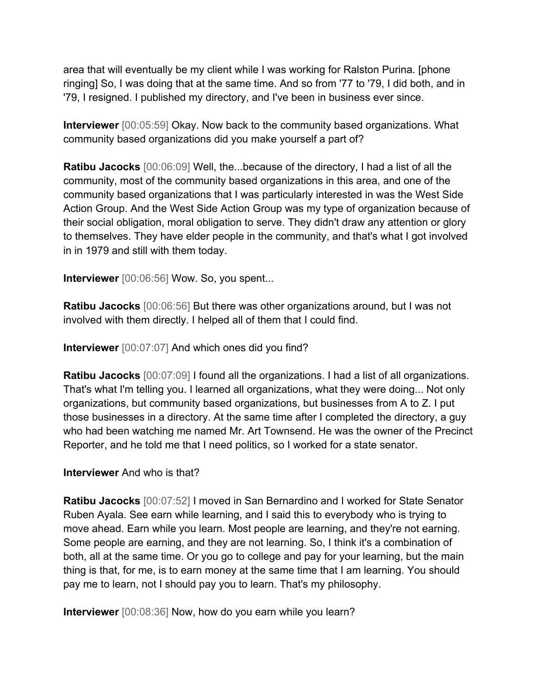area that will eventually be my client while I was working for Ralston Purina. [phone ringing] So, I was doing that at the same time. And so from '77 to '79, I did both, and in '79, I resigned. I published my directory, and I've been in business ever since.

**Interviewer** [00:05:59] Okay. Now back to the community based organizations. What community based organizations did you make yourself a part of?

**Ratibu Jacocks** [00:06:09] Well, the...because of the directory, I had a list of all the community, most of the community based organizations in this area, and one of the community based organizations that I was particularly interested in was the West Side Action Group. And the West Side Action Group was my type of organization because of their social obligation, moral obligation to serve. They didn't draw any attention or glory to themselves. They have elder people in the community, and that's what I got involved in in 1979 and still with them today.

**Interviewer** [00:06:56] Wow. So, you spent...

**Ratibu Jacocks** [00:06:56] But there was other organizations around, but I was not involved with them directly. I helped all of them that I could find.

**Interviewer** [00:07:07] And which ones did you find?

**Ratibu Jacocks** [00:07:09] I found all the organizations. I had a list of all organizations. That's what I'm telling you. I learned all organizations, what they were doing... Not only organizations, but community based organizations, but businesses from A to Z. I put those businesses in a directory. At the same time after I completed the directory, a guy who had been watching me named Mr. Art Townsend. He was the owner of the Precinct Reporter, and he told me that I need politics, so I worked for a state senator.

#### **Interviewer** And who is that?

**Ratibu Jacocks** [00:07:52] I moved in San Bernardino and I worked for State Senator Ruben Ayala. See earn while learning, and I said this to everybody who is trying to move ahead. Earn while you learn. Most people are learning, and they're not earning. Some people are earning, and they are not learning. So, I think it's a combination of both, all at the same time. Or you go to college and pay for your learning, but the main thing is that, for me, is to earn money at the same time that I am learning. You should pay me to learn, not I should pay you to learn. That's my philosophy.

**Interviewer** [00:08:36] Now, how do you earn while you learn?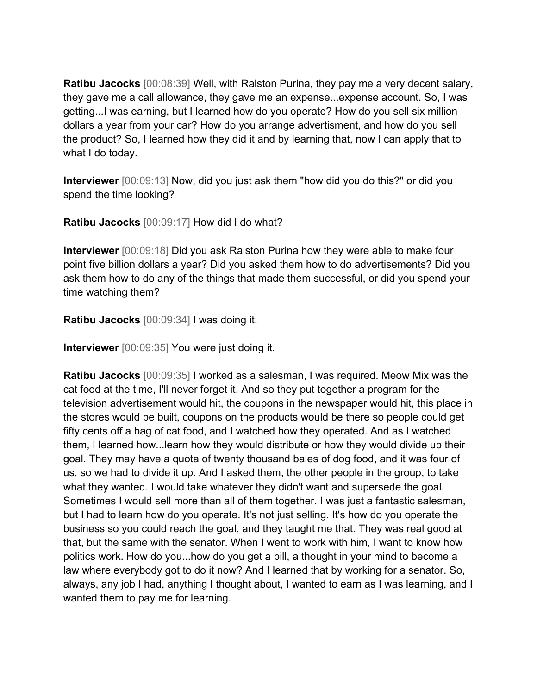**Ratibu Jacocks** [00:08:39] Well, with Ralston Purina, they pay me a very decent salary, they gave me a call allowance, they gave me an expense...expense account. So, I was getting...I was earning, but I learned how do you operate? How do you sell six million dollars a year from your car? How do you arrange advertisment, and how do you sell the product? So, I learned how they did it and by learning that, now I can apply that to what I do today.

**Interviewer** [00:09:13] Now, did you just ask them "how did you do this?" or did you spend the time looking?

**Ratibu Jacocks** [00:09:17] How did I do what?

**Interviewer** [00:09:18] Did you ask Ralston Purina how they were able to make four point five billion dollars a year? Did you asked them how to do advertisements? Did you ask them how to do any of the things that made them successful, or did you spend your time watching them?

**Ratibu Jacocks** [00:09:34] I was doing it.

**Interviewer** [00:09:35] You were just doing it.

**Ratibu Jacocks** [00:09:35] I worked as a salesman, I was required. Meow Mix was the cat food at the time, I'll never forget it. And so they put together a program for the television advertisement would hit, the coupons in the newspaper would hit, this place in the stores would be built, coupons on the products would be there so people could get fifty cents off a bag of cat food, and I watched how they operated. And as I watched them, I learned how...learn how they would distribute or how they would divide up their goal. They may have a quota of twenty thousand bales of dog food, and it was four of us, so we had to divide it up. And I asked them, the other people in the group, to take what they wanted. I would take whatever they didn't want and supersede the goal. Sometimes I would sell more than all of them together. I was just a fantastic salesman, but I had to learn how do you operate. It's not just selling. It's how do you operate the business so you could reach the goal, and they taught me that. They was real good at that, but the same with the senator. When I went to work with him, I want to know how politics work. How do you...how do you get a bill, a thought in your mind to become a law where everybody got to do it now? And I learned that by working for a senator. So, always, any job I had, anything I thought about, I wanted to earn as I was learning, and I wanted them to pay me for learning.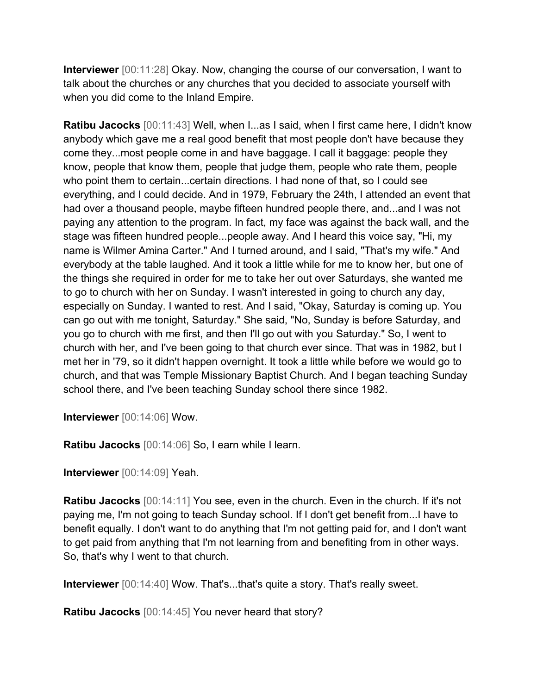**Interviewer** [00:11:28] Okay. Now, changing the course of our conversation, I want to talk about the churches or any churches that you decided to associate yourself with when you did come to the Inland Empire.

**Ratibu Jacocks** [00:11:43] Well, when I...as I said, when I first came here, I didn't know anybody which gave me a real good benefit that most people don't have because they come they...most people come in and have baggage. I call it baggage: people they know, people that know them, people that judge them, people who rate them, people who point them to certain...certain directions. I had none of that, so I could see everything, and I could decide. And in 1979, February the 24th, I attended an event that had over a thousand people, maybe fifteen hundred people there, and...and I was not paying any attention to the program. In fact, my face was against the back wall, and the stage was fifteen hundred people...people away. And I heard this voice say, "Hi, my name is Wilmer Amina Carter." And I turned around, and I said, "That's my wife." And everybody at the table laughed. And it took a little while for me to know her, but one of the things she required in order for me to take her out over Saturdays, she wanted me to go to church with her on Sunday. I wasn't interested in going to church any day, especially on Sunday. I wanted to rest. And I said, "Okay, Saturday is coming up. You can go out with me tonight, Saturday." She said, "No, Sunday is before Saturday, and you go to church with me first, and then I'll go out with you Saturday." So, I went to church with her, and I've been going to that church ever since. That was in 1982, but I met her in '79, so it didn't happen overnight. It took a little while before we would go to church, and that was Temple Missionary Baptist Church. And I began teaching Sunday school there, and I've been teaching Sunday school there since 1982.

**Interviewer** [00:14:06] Wow.

**Ratibu Jacocks** [00:14:06] So, I earn while I learn.

**Interviewer** [00:14:09] Yeah.

**Ratibu Jacocks** [00:14:11] You see, even in the church. Even in the church. If it's not paying me, I'm not going to teach Sunday school. If I don't get benefit from...I have to benefit equally. I don't want to do anything that I'm not getting paid for, and I don't want to get paid from anything that I'm not learning from and benefiting from in other ways. So, that's why I went to that church.

**Interviewer** [00:14:40] Wow. That's...that's quite a story. That's really sweet.

**Ratibu Jacocks** [00:14:45] You never heard that story?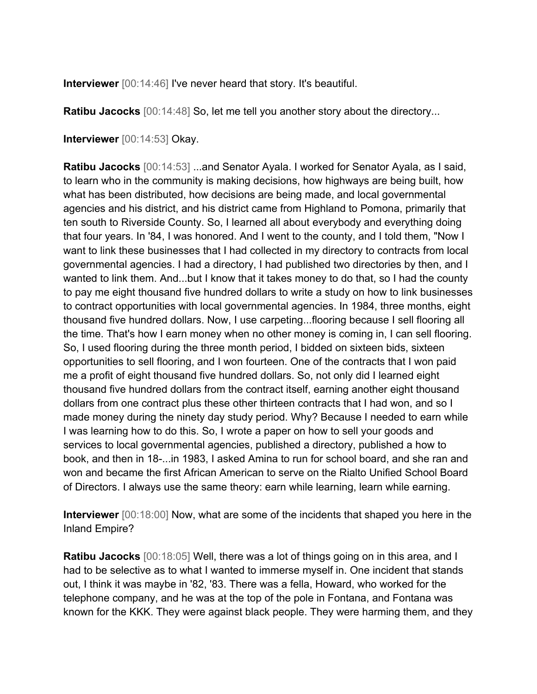**Interviewer** [00:14:46] I've never heard that story. It's beautiful.

**Ratibu Jacocks** [00:14:48] So, let me tell you another story about the directory...

**Interviewer** [00:14:53] Okay.

**Ratibu Jacocks** [00:14:53] ...and Senator Ayala. I worked for Senator Ayala, as I said, to learn who in the community is making decisions, how highways are being built, how what has been distributed, how decisions are being made, and local governmental agencies and his district, and his district came from Highland to Pomona, primarily that ten south to Riverside County. So, I learned all about everybody and everything doing that four years. In '84, I was honored. And I went to the county, and I told them, "Now I want to link these businesses that I had collected in my directory to contracts from local governmental agencies. I had a directory, I had published two directories by then, and I wanted to link them. And...but I know that it takes money to do that, so I had the county to pay me eight thousand five hundred dollars to write a study on how to link businesses to contract opportunities with local governmental agencies. In 1984, three months, eight thousand five hundred dollars. Now, I use carpeting...flooring because I sell flooring all the time. That's how I earn money when no other money is coming in, I can sell flooring. So, I used flooring during the three month period, I bidded on sixteen bids, sixteen opportunities to sell flooring, and I won fourteen. One of the contracts that I won paid me a profit of eight thousand five hundred dollars. So, not only did I learned eight thousand five hundred dollars from the contract itself, earning another eight thousand dollars from one contract plus these other thirteen contracts that I had won, and so I made money during the ninety day study period. Why? Because I needed to earn while I was learning how to do this. So, I wrote a paper on how to sell your goods and services to local governmental agencies, published a directory, published a how to book, and then in 18-...in 1983, I asked Amina to run for school board, and she ran and won and became the first African American to serve on the Rialto Unified School Board of Directors. I always use the same theory: earn while learning, learn while earning.

**Interviewer** [00:18:00] Now, what are some of the incidents that shaped you here in the Inland Empire?

**Ratibu Jacocks** [00:18:05] Well, there was a lot of things going on in this area, and I had to be selective as to what I wanted to immerse myself in. One incident that stands out, I think it was maybe in '82, '83. There was a fella, Howard, who worked for the telephone company, and he was at the top of the pole in Fontana, and Fontana was known for the KKK. They were against black people. They were harming them, and they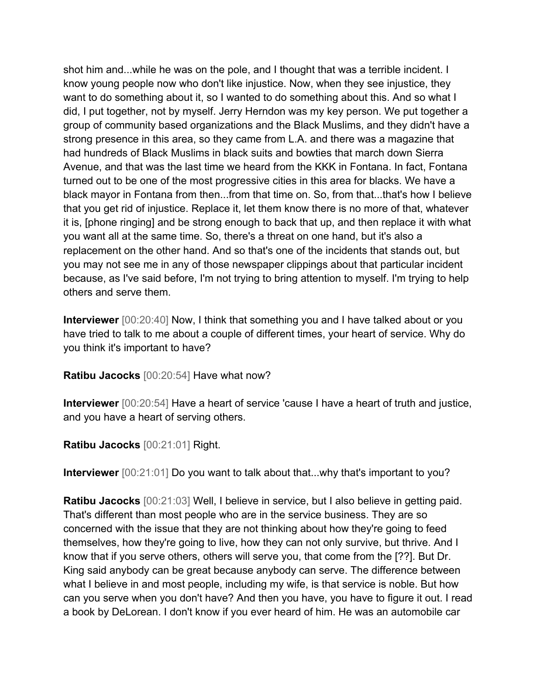shot him and...while he was on the pole, and I thought that was a terrible incident. I know young people now who don't like injustice. Now, when they see injustice, they want to do something about it, so I wanted to do something about this. And so what I did, I put together, not by myself. Jerry Herndon was my key person. We put together a group of community based organizations and the Black Muslims, and they didn't have a strong presence in this area, so they came from L.A. and there was a magazine that had hundreds of Black Muslims in black suits and bowties that march down Sierra Avenue, and that was the last time we heard from the KKK in Fontana. In fact, Fontana turned out to be one of the most progressive cities in this area for blacks. We have a black mayor in Fontana from then...from that time on. So, from that...that's how I believe that you get rid of injustice. Replace it, let them know there is no more of that, whatever it is, [phone ringing] and be strong enough to back that up, and then replace it with what you want all at the same time. So, there's a threat on one hand, but it's also a replacement on the other hand. And so that's one of the incidents that stands out, but you may not see me in any of those newspaper clippings about that particular incident because, as I've said before, I'm not trying to bring attention to myself. I'm trying to help others and serve them.

**Interviewer** [00:20:40] Now, I think that something you and I have talked about or you have tried to talk to me about a couple of different times, your heart of service. Why do you think it's important to have?

**Ratibu Jacocks** [00:20:54] Have what now?

**Interviewer** [00:20:54] Have a heart of service 'cause I have a heart of truth and justice, and you have a heart of serving others.

**Ratibu Jacocks** [00:21:01] Right.

**Interviewer** [00:21:01] Do you want to talk about that...why that's important to you?

**Ratibu Jacocks** [00:21:03] Well, I believe in service, but I also believe in getting paid. That's different than most people who are in the service business. They are so concerned with the issue that they are not thinking about how they're going to feed themselves, how they're going to live, how they can not only survive, but thrive. And I know that if you serve others, others will serve you, that come from the [??]. But Dr. King said anybody can be great because anybody can serve. The difference between what I believe in and most people, including my wife, is that service is noble. But how can you serve when you don't have? And then you have, you have to figure it out. I read a book by DeLorean. I don't know if you ever heard of him. He was an automobile car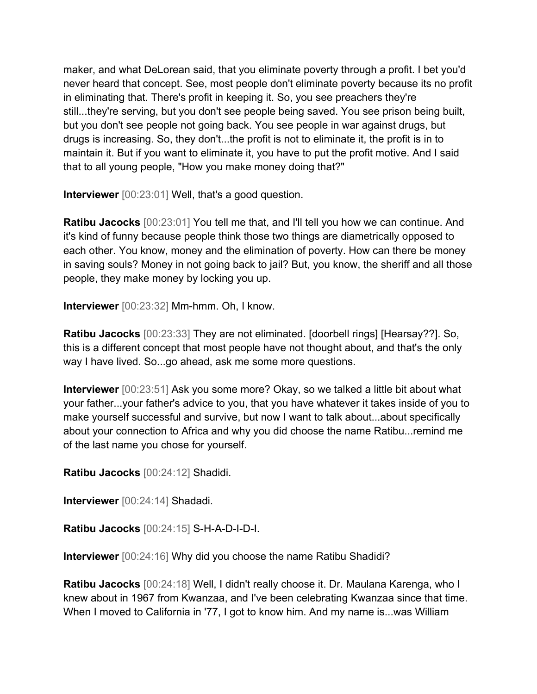maker, and what DeLorean said, that you eliminate poverty through a profit. I bet you'd never heard that concept. See, most people don't eliminate poverty because its no profit in eliminating that. There's profit in keeping it. So, you see preachers they're still...they're serving, but you don't see people being saved. You see prison being built, but you don't see people not going back. You see people in war against drugs, but drugs is increasing. So, they don't...the profit is not to eliminate it, the profit is in to maintain it. But if you want to eliminate it, you have to put the profit motive. And I said that to all young people, "How you make money doing that?"

**Interviewer** [00:23:01] Well, that's a good question.

**Ratibu Jacocks** [00:23:01] You tell me that, and I'll tell you how we can continue. And it's kind of funny because people think those two things are diametrically opposed to each other. You know, money and the elimination of poverty. How can there be money in saving souls? Money in not going back to jail? But, you know, the sheriff and all those people, they make money by locking you up.

**Interviewer** [00:23:32] Mm-hmm. Oh, I know.

**Ratibu Jacocks** [00:23:33] They are not eliminated. [doorbell rings] [Hearsay??]. So, this is a different concept that most people have not thought about, and that's the only way I have lived. So...go ahead, ask me some more questions.

**Interviewer** [00:23:51] Ask you some more? Okay, so we talked a little bit about what your father...your father's advice to you, that you have whatever it takes inside of you to make yourself successful and survive, but now I want to talk about...about specifically about your connection to Africa and why you did choose the name Ratibu...remind me of the last name you chose for yourself.

**Ratibu Jacocks** [00:24:12] Shadidi.

**Interviewer** [00:24:14] Shadadi.

**Ratibu Jacocks** [00:24:15] S-H-A-D-I-D-I.

**Interviewer** [00:24:16] Why did you choose the name Ratibu Shadidi?

**Ratibu Jacocks** [00:24:18] Well, I didn't really choose it. Dr. Maulana Karenga, who I knew about in 1967 from Kwanzaa, and I've been celebrating Kwanzaa since that time. When I moved to California in '77, I got to know him. And my name is...was William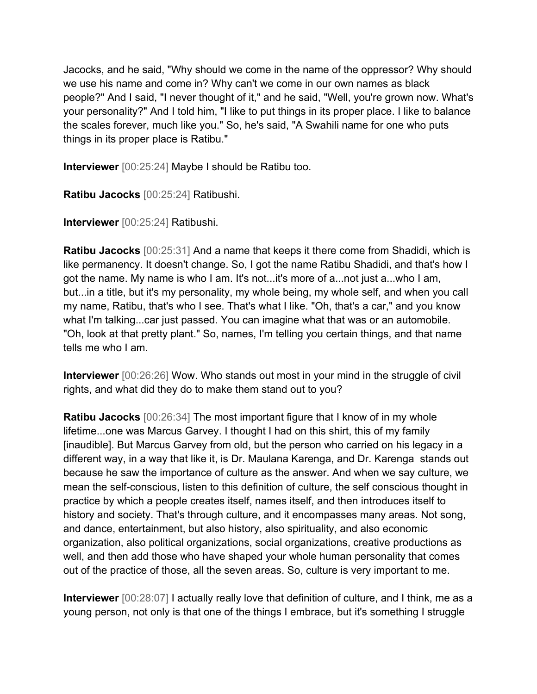Jacocks, and he said, "Why should we come in the name of the oppressor? Why should we use his name and come in? Why can't we come in our own names as black people?" And I said, "I never thought of it," and he said, "Well, you're grown now. What's your personality?" And I told him, "I like to put things in its proper place. I like to balance the scales forever, much like you." So, he's said, "A Swahili name for one who puts things in its proper place is Ratibu."

**Interviewer** [00:25:24] Maybe I should be Ratibu too.

**Ratibu Jacocks** [00:25:24] Ratibushi.

**Interviewer** [00:25:24] Ratibushi.

**Ratibu Jacocks** [00:25:31] And a name that keeps it there come from Shadidi, which is like permanency. It doesn't change. So, I got the name Ratibu Shadidi, and that's how I got the name. My name is who I am. It's not...it's more of a...not just a...who I am, but...in a title, but it's my personality, my whole being, my whole self, and when you call my name, Ratibu, that's who I see. That's what I like. "Oh, that's a car," and you know what I'm talking...car just passed. You can imagine what that was or an automobile. "Oh, look at that pretty plant." So, names, I'm telling you certain things, and that name tells me who I am.

**Interviewer** [00:26:26] Wow. Who stands out most in your mind in the struggle of civil rights, and what did they do to make them stand out to you?

**Ratibu Jacocks** [00:26:34] The most important figure that I know of in my whole lifetime...one was Marcus Garvey. I thought I had on this shirt, this of my family [inaudible]. But Marcus Garvey from old, but the person who carried on his legacy in a different way, in a way that like it, is Dr. Maulana Karenga, and Dr. Karenga stands out because he saw the importance of culture as the answer. And when we say culture, we mean the self-conscious, listen to this definition of culture, the self conscious thought in practice by which a people creates itself, names itself, and then introduces itself to history and society. That's through culture, and it encompasses many areas. Not song, and dance, entertainment, but also history, also spirituality, and also economic organization, also political organizations, social organizations, creative productions as well, and then add those who have shaped your whole human personality that comes out of the practice of those, all the seven areas. So, culture is very important to me.

**Interviewer** [00:28:07] I actually really love that definition of culture, and I think, me as a young person, not only is that one of the things I embrace, but it's something I struggle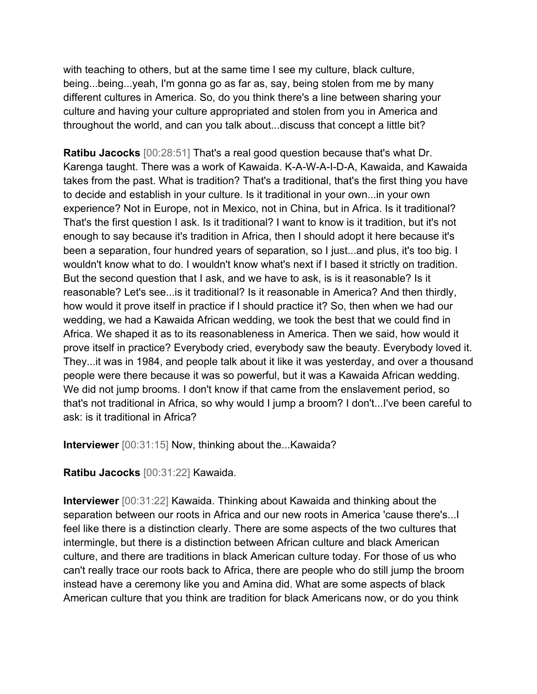with teaching to others, but at the same time I see my culture, black culture, being...being...yeah, I'm gonna go as far as, say, being stolen from me by many different cultures in America. So, do you think there's a line between sharing your culture and having your culture appropriated and stolen from you in America and throughout the world, and can you talk about...discuss that concept a little bit?

**Ratibu Jacocks** [00:28:51] That's a real good question because that's what Dr. Karenga taught. There was a work of Kawaida. K-A-W-A-I-D-A, Kawaida, and Kawaida takes from the past. What is tradition? That's a traditional, that's the first thing you have to decide and establish in your culture. Is it traditional in your own...in your own experience? Not in Europe, not in Mexico, not in China, but in Africa. Is it traditional? That's the first question I ask. Is it traditional? I want to know is it tradition, but it's not enough to say because it's tradition in Africa, then I should adopt it here because it's been a separation, four hundred years of separation, so I just...and plus, it's too big. I wouldn't know what to do. I wouldn't know what's next if I based it strictly on tradition. But the second question that I ask, and we have to ask, is is it reasonable? Is it reasonable? Let's see...is it traditional? Is it reasonable in America? And then thirdly, how would it prove itself in practice if I should practice it? So, then when we had our wedding, we had a Kawaida African wedding, we took the best that we could find in Africa. We shaped it as to its reasonableness in America. Then we said, how would it prove itself in practice? Everybody cried, everybody saw the beauty. Everybody loved it. They...it was in 1984, and people talk about it like it was yesterday, and over a thousand people were there because it was so powerful, but it was a Kawaida African wedding. We did not jump brooms. I don't know if that came from the enslavement period, so that's not traditional in Africa, so why would I jump a broom? I don't...I've been careful to ask: is it traditional in Africa?

**Interviewer** [00:31:15] Now, thinking about the...Kawaida?

**Ratibu Jacocks** [00:31:22] Kawaida.

**Interviewer** [00:31:22] Kawaida. Thinking about Kawaida and thinking about the separation between our roots in Africa and our new roots in America 'cause there's...I feel like there is a distinction clearly. There are some aspects of the two cultures that intermingle, but there is a distinction between African culture and black American culture, and there are traditions in black American culture today. For those of us who can't really trace our roots back to Africa, there are people who do still jump the broom instead have a ceremony like you and Amina did. What are some aspects of black American culture that you think are tradition for black Americans now, or do you think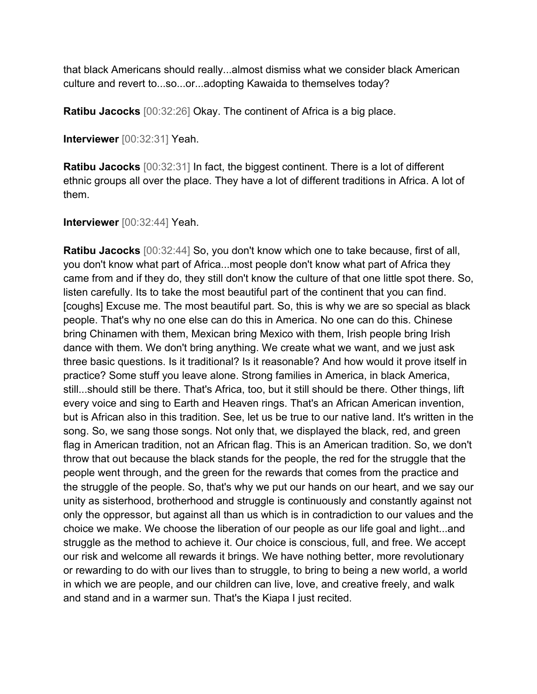that black Americans should really...almost dismiss what we consider black American culture and revert to...so...or...adopting Kawaida to themselves today?

**Ratibu Jacocks** [00:32:26] Okay. The continent of Africa is a big place.

**Interviewer** [00:32:31] Yeah.

**Ratibu Jacocks** [00:32:31] In fact, the biggest continent. There is a lot of different ethnic groups all over the place. They have a lot of different traditions in Africa. A lot of them.

**Interviewer** [00:32:44] Yeah.

**Ratibu Jacocks** [00:32:44] So, you don't know which one to take because, first of all, you don't know what part of Africa...most people don't know what part of Africa they came from and if they do, they still don't know the culture of that one little spot there. So, listen carefully. Its to take the most beautiful part of the continent that you can find. [coughs] Excuse me. The most beautiful part. So, this is why we are so special as black people. That's why no one else can do this in America. No one can do this. Chinese bring Chinamen with them, Mexican bring Mexico with them, Irish people bring Irish dance with them. We don't bring anything. We create what we want, and we just ask three basic questions. Is it traditional? Is it reasonable? And how would it prove itself in practice? Some stuff you leave alone. Strong families in America, in black America, still...should still be there. That's Africa, too, but it still should be there. Other things, lift every voice and sing to Earth and Heaven rings. That's an African American invention, but is African also in this tradition. See, let us be true to our native land. It's written in the song. So, we sang those songs. Not only that, we displayed the black, red, and green flag in American tradition, not an African flag. This is an American tradition. So, we don't throw that out because the black stands for the people, the red for the struggle that the people went through, and the green for the rewards that comes from the practice and the struggle of the people. So, that's why we put our hands on our heart, and we say our unity as sisterhood, brotherhood and struggle is continuously and constantly against not only the oppressor, but against all than us which is in contradiction to our values and the choice we make. We choose the liberation of our people as our life goal and light...and struggle as the method to achieve it. Our choice is conscious, full, and free. We accept our risk and welcome all rewards it brings. We have nothing better, more revolutionary or rewarding to do with our lives than to struggle, to bring to being a new world, a world in which we are people, and our children can live, love, and creative freely, and walk and stand and in a warmer sun. That's the Kiapa I just recited.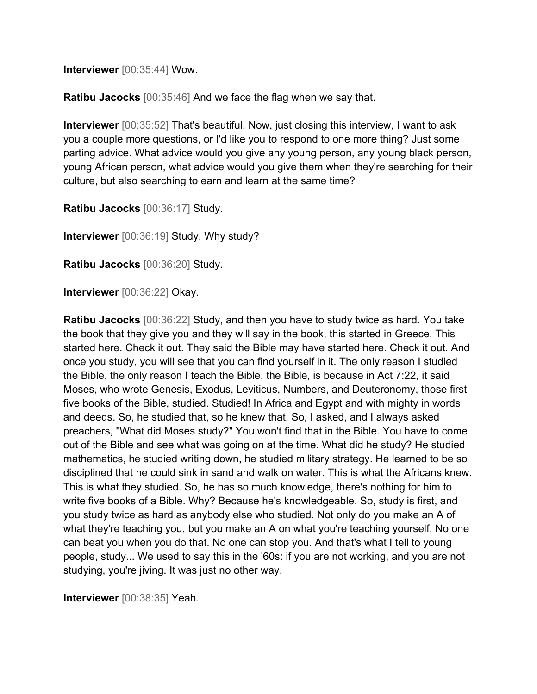**Interviewer** [00:35:44] Wow.

**Ratibu Jacocks** [00:35:46] And we face the flag when we say that.

**Interviewer** [00:35:52] That's beautiful. Now, just closing this interview, I want to ask you a couple more questions, or I'd like you to respond to one more thing? Just some parting advice. What advice would you give any young person, any young black person, young African person, what advice would you give them when they're searching for their culture, but also searching to earn and learn at the same time?

**Ratibu Jacocks** [00:36:17] Study.

**Interviewer** [00:36:19] Study. Why study?

**Ratibu Jacocks** [00:36:20] Study.

**Interviewer** [00:36:22] Okay.

**Ratibu Jacocks** [00:36:22] Study, and then you have to study twice as hard. You take the book that they give you and they will say in the book, this started in Greece. This started here. Check it out. They said the Bible may have started here. Check it out. And once you study, you will see that you can find yourself in it. The only reason I studied the Bible, the only reason I teach the Bible, the Bible, is because in Act 7:22, it said Moses, who wrote Genesis, Exodus, Leviticus, Numbers, and Deuteronomy, those first five books of the Bible, studied. Studied! In Africa and Egypt and with mighty in words and deeds. So, he studied that, so he knew that. So, I asked, and I always asked preachers, "What did Moses study?" You won't find that in the Bible. You have to come out of the Bible and see what was going on at the time. What did he study? He studied mathematics, he studied writing down, he studied military strategy. He learned to be so disciplined that he could sink in sand and walk on water. This is what the Africans knew. This is what they studied. So, he has so much knowledge, there's nothing for him to write five books of a Bible. Why? Because he's knowledgeable. So, study is first, and you study twice as hard as anybody else who studied. Not only do you make an A of what they're teaching you, but you make an A on what you're teaching yourself. No one can beat you when you do that. No one can stop you. And that's what I tell to young people, study... We used to say this in the '60s: if you are not working, and you are not studying, you're jiving. It was just no other way.

**Interviewer** [00:38:35] Yeah.